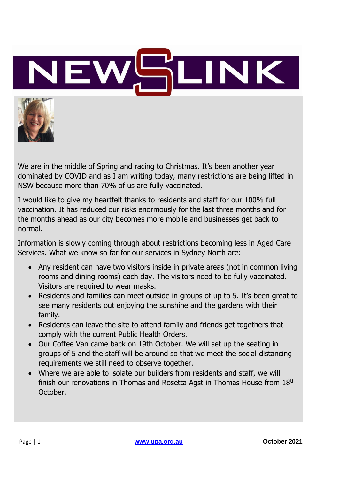



We are in the middle of Spring and racing to Christmas. It's been another year dominated by COVID and as I am writing today, many restrictions are being lifted in NSW because more than 70% of us are fully vaccinated.

I would like to give my heartfelt thanks to residents and staff for our 100% full vaccination. It has reduced our risks enormously for the last three months and for the months ahead as our city becomes more mobile and businesses get back to normal.

Information is slowly coming through about restrictions becoming less in Aged Care Services. What we know so far for our services in Sydney North are:

- Any resident can have two visitors inside in private areas (not in common living rooms and dining rooms) each day. The visitors need to be fully vaccinated. Visitors are required to wear masks.
- Residents and families can meet outside in groups of up to 5. It's been great to see many residents out enjoying the sunshine and the gardens with their family.
- Residents can leave the site to attend family and friends get togethers that comply with the current Public Health Orders.
- Our Coffee Van came back on 19th October. We will set up the seating in groups of 5 and the staff will be around so that we meet the social distancing requirements we still need to observe together.
- Where we are able to isolate our builders from residents and staff, we will finish our renovations in Thomas and Rosetta Agst in Thomas House from 18th October.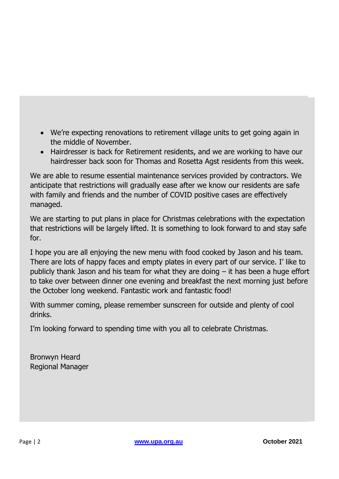- combination ID and swipe for access to our services. This and easier supply of • We're expecting renovations to retirement village units to get going again in evelopment at Pacific Highway, Wahroonga is now starting down the Pacific Highway, Wahroonga is now starting down the University of the University of the University of the University of the University of the University of the middle of November.
	- Hairdresser is back for Retirement residents, and we are working to have our  $\overline{\phantom{a}}$ hairdresser back soon for Thomas and Rosetta Agst residents from this week.

We are able to resume essential maintenance services provided by contractors. We anticipate that restrictions will gradually ease after we know our residents are safe with family and friends and the number of COVID positive cases are effectively managed.

We are starting to put plans in place for Christmas celebrations with the expectation Favourite colour Blue that restrictions will be largely lifted. It is something to look forward to and stay safe for.

I hope you are all enjoying the new menu with food cooked by Jason and his team. There are lots of happy faces and empty plates in every part of our service. I' like to to take over between dinner one evening and breakfast the next morning just before the October long weekend. Fantastic work and fantastic food! publicly thank Jason and his team for what they are doing – it has been a huge effort

With summer coming, please remember sunscreen for outside and plenty of cool drinks.

 $\mathcal{L}_{\mathcal{A}}$  Shangi La,  $\mathcal{L}_{\mathcal{A}}$  ,  $\mathcal{L}_{\mathcal{A}}$  ,  $\mathcal{L}_{\mathcal{A}}$  ,  $\mathcal{L}_{\mathcal{A}}$  ,  $\mathcal{L}_{\mathcal{A}}$  ,  $\mathcal{L}_{\mathcal{A}}$  ,  $\mathcal{L}_{\mathcal{A}}$  ,  $\mathcal{L}_{\mathcal{A}}$  ,  $\mathcal{L}_{\mathcal{A}}$  ,  $\mathcal{L}_{\mathcal{A}}$  ,  $\mathcal{L}_{\mathcal{A}}$  ,  $\mathcal{L}_{\$ I'm looking forward to spending time with you all to celebrate Christmas.

Café and restaurants 10 years at cafes and restaurants in the Northern Beaches Bronwyn Heard Regional Manager at a Bupa Aged Care Facility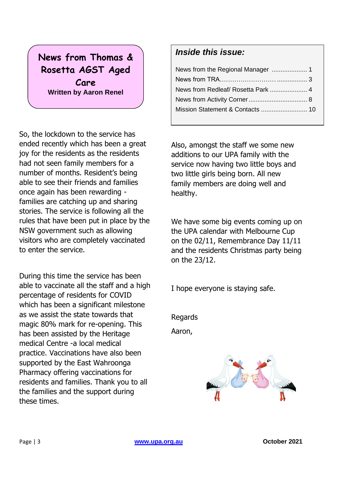# **News from Thomas & Rosetta AGST Aged Care Written by Aaron Renel**

So, the lockdown to the service has ended recently which has been a great joy for the residents as the residents had not seen family members for a number of months. Resident's being able to see their friends and families once again has been rewarding families are catching up and sharing stories. The service is following all the rules that have been put in place by the NSW government such as allowing visitors who are completely vaccinated to enter the service.

During this time the service has been able to vaccinate all the staff and a high percentage of residents for COVID which has been a significant milestone as we assist the state towards that magic 80% mark for re-opening. This has been assisted by the Heritage medical Centre -a local medical practice. Vaccinations have also been supported by the East Wahroonga Pharmacy offering vaccinations for residents and families. Thank you to all the families and the support during these times.

## *Inside this issue:*

Also, amongst the staff we some new additions to our UPA family with the service now having two little boys and two little girls being born. All new family members are doing well and healthy.

We have some big events coming up on the UPA calendar with Melbourne Cup on the 02/11, Remembrance Day 11/11 and the residents Christmas party being on the 23/12.

I hope everyone is staying safe.

Regards

Aaron,

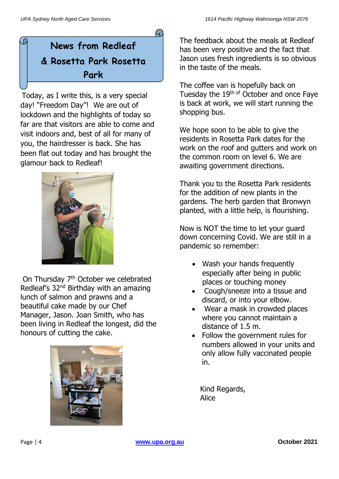# **News from Redleaf & Rosetta Park Rosetta Park**

Today, as I write this, is a very special day! "Freedom Day"! We are out of lockdown and the highlights of today so far are that visitors are able to come and visit indoors and, best of all for many of you, the hairdresser is back. She has been flat out today and has brought the glamour back to Redleaf! **Written by Alice Mackay**



On Thursday 7<sup>th</sup> October we celebrated Redleaf's 32nd Birthday with an amazing lunch of salmon and prawns and a beautiful cake made by our Chef Manager, Jason. Joan Smith, who has been living in Redleaf the longest, did the honours of cutting the cake.



The feedback about the meals at Redleaf has been very positive and the fact that Jason uses fresh ingredients is so obvious in the taste of the meals.

The coffee van is hopefully back on Tuesday the 19<sup>th of</sup> October and once Faye is back at work, we will start running the shopping bus.

We hope soon to be able to give the residents in Rosetta Park dates for the work on the roof and gutters and work on the common room on level 6. We are awaiting government directions.

Thank you to the Rosetta Park residents for the addition of new plants in the gardens. The herb garden that Bronwyn planted, with a little help, is flourishing.

Now is NOT the time to let your guard down concerning Covid. We are still in a pandemic so remember:

- Wash your hands frequently especially after being in public places or touching money
- Cough/sneeze into a tissue and discard, or into your elbow.
- Wear a mask in crowded places where you cannot maintain a distance of 1.5 m.
- Follow the government rules for numbers allowed in your units and only allow fully vaccinated people in.

 Kind Regards, Alice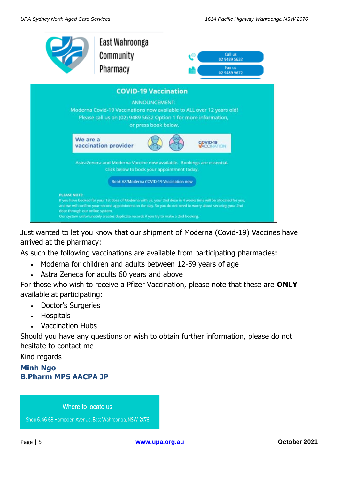

Just wanted to let you know that our shipment of Moderna (Covid-19) Vaccines have arrived at the pharmacy:

As such the following vaccinations are available from participating pharmacies:

- Moderna for children and adults between 12-59 years of age
- Astra Zeneca for adults 60 years and above

For those who wish to receive a Pfizer Vaccination, please note that these are **ONLY** available at participating:

- Doctor's Surgeries
- Hospitals
- Vaccination Hubs

Should you have any questions or wish to obtain further information, please do not hesitate to contact me

Kind regards

## **Minh Ngo B.Pharm MPS AACPA JP**

Where to locate us

Shop 6, 46-68 Hampden Avenue, East Wahroonga, NSW, 2076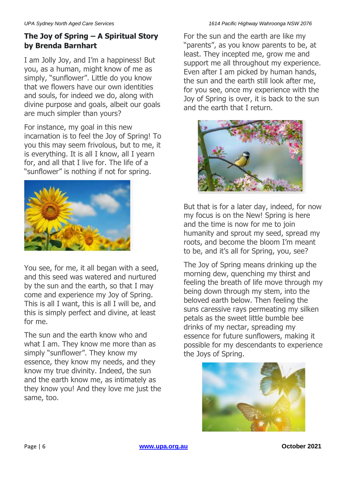## **The Joy of Spring – A Spiritual Story by Brenda Barnhart**

I am Jolly Joy, and I'm a happiness! But you, as a human, might know of me as simply, "sunflower". Little do you know that we flowers have our own identities and souls, for indeed we do, along with divine purpose and goals, albeit our goals are much simpler than yours?

For instance, my goal in this new incarnation is to feel the Joy of Spring! To you this may seem frivolous, but to me, it is everything. It is all I know, all I yearn for, and all that I live for. The life of a "sunflower" is nothing if not for spring.



You see, for me, it all began with a seed, and this seed was watered and nurtured by the sun and the earth, so that I may come and experience my Joy of Spring. This is all I want, this is all I will be, and this is simply perfect and divine, at least for me.

The sun and the earth know who and what I am. They know me more than as simply "sunflower". They know my essence, they know my needs, and they know my true divinity. Indeed, the sun and the earth know me, as intimately as they know you! And they love me just the same, too.

For the sun and the earth are like my "parents", as you know parents to be, at least. They incepted me, grow me and support me all throughout my experience. Even after I am picked by human hands, the sun and the earth still look after me, for you see, once my experience with the Joy of Spring is over, it is back to the sun and the earth that I return.



But that is for a later day, indeed, for now my focus is on the New! Spring is here and the time is now for me to join humanity and sprout my seed, spread my roots, and become the bloom I'm meant to be, and it's all for Spring, you, see?

The Joy of Spring means drinking up the morning dew, quenching my thirst and feeling the breath of life move through my being down through my stem, into the beloved earth below. Then feeling the suns caressive rays permeating my silken petals as the sweet little bumble bee drinks of my nectar, spreading my essence for future sunflowers, making it possible for my descendants to experience the Joys of Spring.

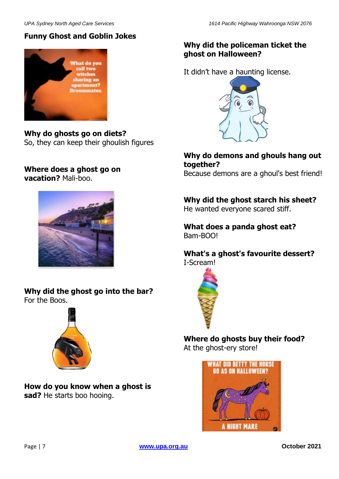## **Funny Ghost and Goblin Jokes**



**Why do ghosts go on diets?** So, they can keep their ghoulish figures

#### **Where does a ghost go on vacation?** Mali-boo.



**Why did the ghost go into the bar?** For the Boos.



**How do you know when a ghost is sad?** He starts boo hooing.

#### **Why did the policeman ticket the ghost on Halloween?**

It didn't have a haunting license.



**Why do demons and ghouls hang out together?**

Because demons are a ghoul's best friend!

**Why did the ghost starch his sheet?**

He wanted everyone scared stiff.

#### **What does a panda ghost eat?** Bam-BOO!

**What's a ghost's favourite dessert?** I-Scream!



# **Where do ghosts buy their food?**

At the ghost-ery store!

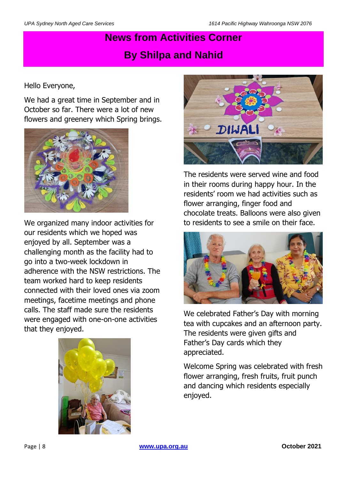# **News from Activities Corner By Shilpa and Nahid**

#### Hello Everyone,

We had a great time in September and in October so far. There were a lot of new flowers and greenery which Spring brings.



We organized many indoor activities for our residents which we hoped was enjoyed by all. September was a challenging month as the facility had to go into a two-week lockdown in adherence with the NSW restrictions. The team worked hard to keep residents connected with their loved ones via zoom meetings, facetime meetings and phone calls. The staff made sure the residents were engaged with one-on-one activities that they enjoyed.





The residents were served wine and food in their rooms during happy hour. In the residents' room we had activities such as flower arranging, finger food and chocolate treats. Balloons were also given to residents to see a smile on their face.



We celebrated Father's Day with morning tea with cupcakes and an afternoon party. The residents were given gifts and Father's Day cards which they appreciated.

Welcome Spring was celebrated with fresh flower arranging, fresh fruits, fruit punch and dancing which residents especially enjoyed.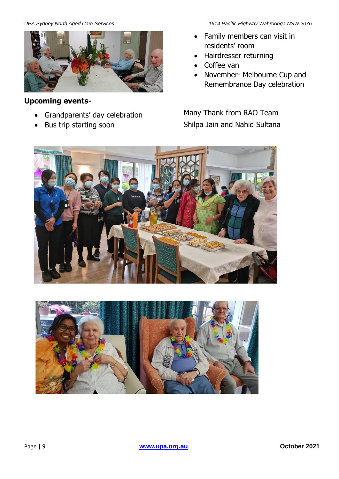

#### **Upcoming events-**

- Grandparents' day celebration
- Bus trip starting soon

*UPA Sydney North Aged Care Services 1614 Pacific Highway Wahroonga NSW 2076*

- Family members can visit in residents' room
- Hairdresser returning
- Coffee van
- November- Melbourne Cup and Remembrance Day celebration

Many Thank from RAO Team Shilpa Jain and Nahid Sultana